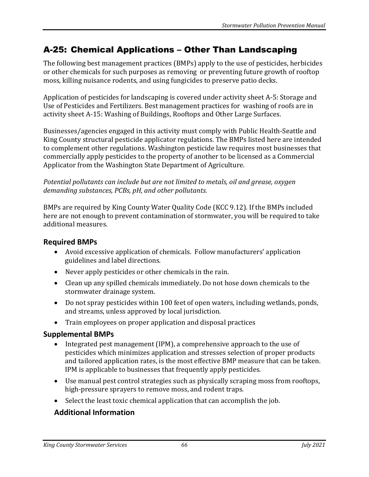## A-25: Chemical Applications – Other Than Landscaping

The following best management practices (BMPs) apply to the use of pesticides, herbicides or other chemicals for such purposes as removing or preventing future growth of rooftop moss, killing nuisance rodents, and using fungicides to preserve patio decks.

Application of pesticides for landscaping is covered under activity sheet A-5: Storage and Use of Pesticides and Fertilizers. Best management practices for washing of roofs are in activity sheet A-15: Washing of Buildings, Rooftops and Other Large Surfaces.

Businesses/agencies engaged in this activity must comply with Public Health-Seattle and King County structural pesticide applicator regulations. The BMPs listed here are intended to complement other regulations. Washington pesticide law requires most businesses that commercially apply pesticides to the property of another to be licensed as a Commercial Applicator from the Washington State Department of Agriculture.

*Potential pollutants can include but are not limited to metals, oil and grease, oxygen demanding substances, PCBs, pH, and other pollutants.*

BMPs are required by King County Water Quality Code (KCC 9.12). If the BMPs included here are not enough to prevent contamination of stormwater, you will be required to take additional measures.

## **Required BMPs**

- Avoid excessive application of chemicals. Follow manufacturers' application guidelines and label directions.
- Never apply pesticides or other chemicals in the rain.
- Clean up any spilled chemicals immediately. Do not hose down chemicals to the stormwater drainage system.
- Do not spray pesticides within 100 feet of open waters, including wetlands, ponds, and streams, unless approved by local jurisdiction.
- Train employees on proper application and disposal practices

## **Supplemental BMPs**

- Integrated pest management (IPM), a comprehensive approach to the use of pesticides which minimizes application and stresses selection of proper products and tailored application rates, is the most effective BMP measure that can be taken. IPM is applicable to businesses that frequently apply pesticides.
- Use manual pest control strategies such as physically scraping moss from rooftops, high-pressure sprayers to remove moss, and rodent traps.
- Select the least toxic chemical application that can accomplish the job.

## **Additional Information**